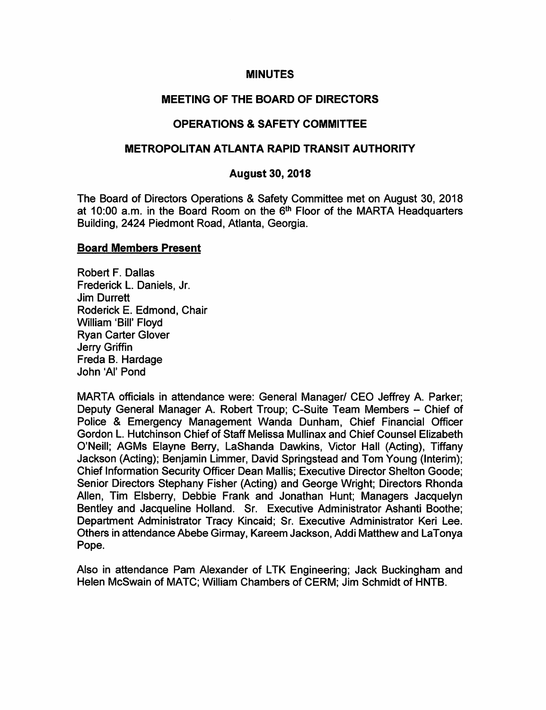### MINUTES

### MEETING OF THE BOARD OF DIRECTORS

### OPERATIONS & SAFETY COMMITTEE

### METROPOLITAN ATLANTA RAPID TRANSIT AUTHORITY

#### August 30, 2018

The Board of Directors Operations & Safety Committee met on August 30, 2018 at 10:00 a.m. in the Board Room on the  $6<sup>th</sup>$  Floor of the MARTA Headquarters Building, 2424 Piedmont Road, Atlanta, Georgia.

#### Board Members Present

Robert F. Dallas Frederick L. Daniels, Jr. Jim Durrett Roderick E. Edmond, Chair William 'Bill' Floyd Ryan Carter Glover Jerry Griffin Freda B. Hardage John 'Al' Pond

MARTA officials in attendance were: General Manager/ CEO Jeffrey A. Parker; Deputy General Manager A. Robert Troup; C-Suite Team Members - Chief of Police & Emergency Management Wanda Dunham, Chief Financial Officer Gordon L. Hutchinson Chief of Staff Melissa Mullinax and Chief Counsel Elizabeth O'Neill; AGMs Elayne Berry, LaShanda Dawkins, Victor Hall (Acting), Tiffany Jackson (Acting); Benjamin Limmer, David Springstead and Tom Young (Interim); Chief Information Security Officer Dean Mallis; Executive Director Shelton Goode; Senior Directors Stephany Fisher (Acting) and George Wright; Directors Rhonda Allen, Tim Elsberry, Debbie Frank and Jonathan Hunt; Managers Jacquelyn Bentley and Jacqueline Holland. Sr. Executive Administrator Ashanti Boothe; Department Administrator Tracy Kincaid; Sr. Executive Administrator Keri Lee. Others in attendance Abebe Girmay, Kareem Jackson, Addi Matthew and LaTonya Pope.

Also in attendance Pam Alexander of LTK Engineering; Jack Buckingham and Helen McSwain of MATC; William Chambers of CERM; Jim Schmidt of HNTB.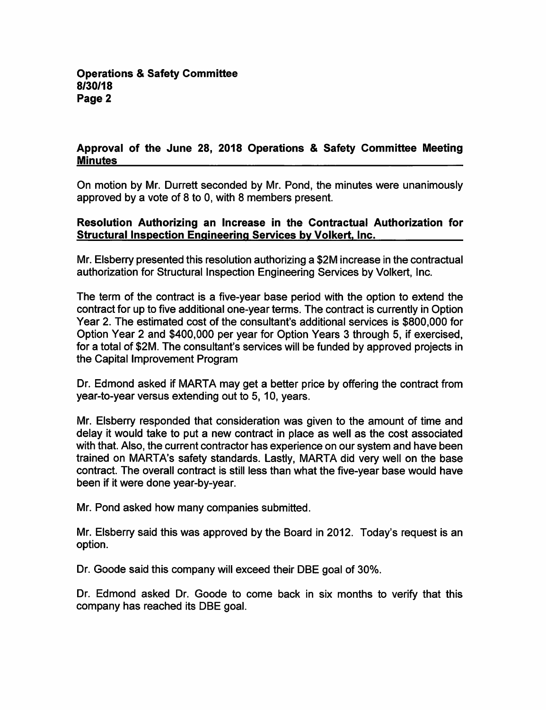# Approval of the June 28, 2018 Operations & Safety Committee Meeting **Minutes**

On motion by Mr. Durrett seconded by Mr. Pond, the minutes were unanimously approved by a vote of 8 to 0, with 8 members present.

# Resolution Authorizing an Increase in the Contractual Authorization for Structural Inspection Engineering Services bv Volkert. Inc.

Mr. Elsberry presented this resolution authorizing a \$2M increase in the contractual authorization for Structural Inspection Engineering Services by Volkert, Inc.

The term of the contract is a five-year base period with the option to extend the contract for up to five additional one-year terms. The contract is currently in Option Year 2. The estimated cost of the consultant's additional services is \$800,000 for Option Year 2 and \$400,000 per year for Option Years 3 through 5, if exercised, for a total of \$2M. The consultant's services will be funded by approved projects in the Capital Improvement Program

Dr. Edmond asked if MARTA may get a better price by offering the contract from year-to-year versus extending out to 5, 10, years.

Mr. Elsberry responded that consideration was given to the amount of time and delay it would take to put a new contract in place as well as the cost associated with that. Also, the current contractor has experience on our system and have been trained on MARTA's safety standards. Lastly, MARTA did very well on the base contract. The overall contract is still less than what the five-year base would have been if it were done year-by-year.

Mr. Pond asked how many companies submitted.

Mr. Elsberry said this was approved by the Board in 2012. Today's request is an option.

Dr. Goode said this company will exceed their DBE goal of 30%.

Dr. Edmond asked Dr. Goode to come back in six months to verify that this company has reached its DBE goal.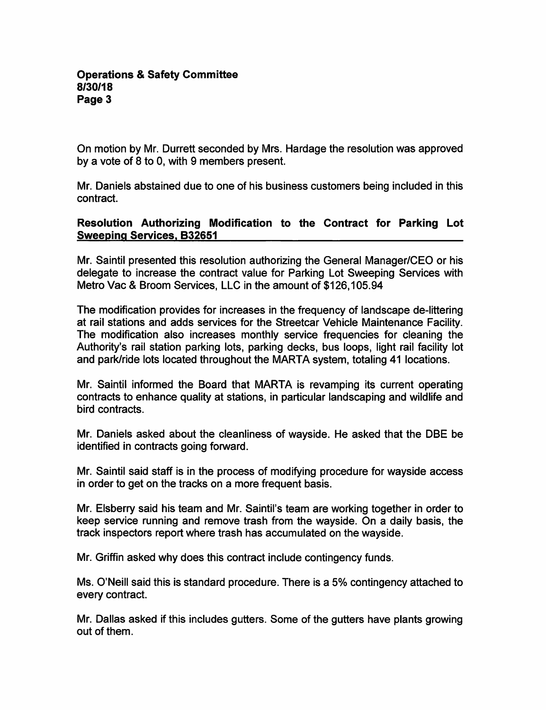On motion by Mr. Durrett seconded by Mrs. Hardage the resolution was approved by a vote of 8 to 0, with 9 members present.

Mr. Daniels abstained due to one of his business customers being included in this contract.

# Resoiution Authorizing Modification to the Contract for Parking Lot Sweeping Services. B32651

Mr. Saintil presented this resolution authorizing the General Manager/CEO or his delegate to increase the contract value for Parking Lot Sweeping Services with Metro Vac & Broom Services, LLC in the amount of \$126,105.94

The modification provides for increases in the frequency of landscape de-littering at rail stations and adds services for the Streetcar Vehicle Maintenance Facility. The modification also increases monthly service frequencies for cleaning the Authority's rail station parking lots, parking decks, bus loops, light rail facility lot and park/ride lots located throughout the MARTA system, totaling 41 locations.

Mr. Saintil informed the Board that MARTA is revamping its current operating contracts to enhance quality at stations, in particular landscaping and wildlife and bird contracts.

Mr. Daniels asked about the cleanliness of wayside. He asked that the DBE be identified in contracts going forward.

Mr. Saintil said staff is in the process of modifying procedure for wayside access in order to get on the tracks on a more frequent basis.

Mr. Elsberry said his team and Mr. Saintil's team are working together in order to keep service running and remove trash from the wayside. On a daily basis, the track inspectors report where trash has accumulated on the wayside.

Mr. Griffin asked why does this contract include contingency funds.

Ms. O'Neill said this is standard procedure. There is a 5% contingency attached to every contract.

Mr. Dallas asked if this includes gutters. Some of the gutters have plants growing out of them.